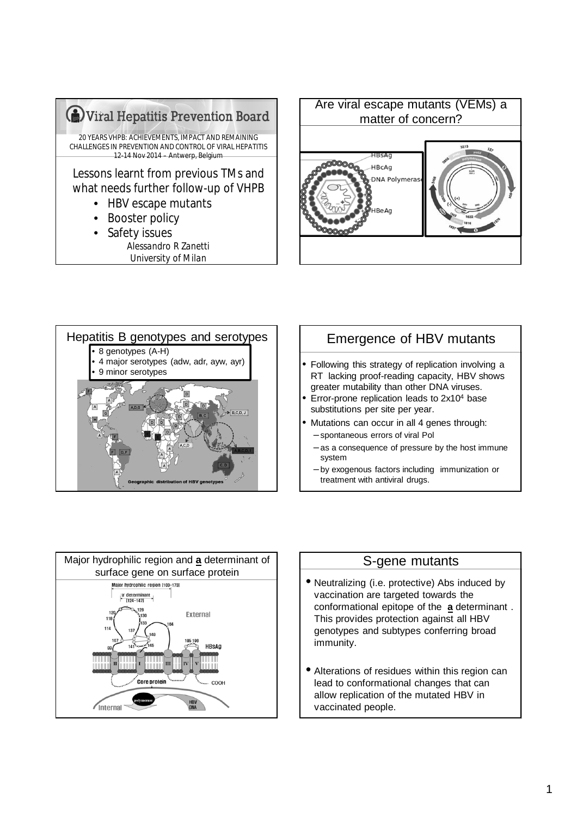

*Alessandro R Zanetti University of Milan*





# Emergence of HBV mutants

- Following this strategy of replication involving a RT lacking proof-reading capacity, HBV shows greater mutability than other DNA viruses.
- Error-prone replication leads to 2x10<sup>4</sup> base substitutions per site per year.
- Mutations can occur in all 4 genes through:
- spontaneous errors of viral Pol
	- as a consequence of pressure by the host immune system
	- by exogenous factors including immunization or treatment with antiviral drugs.



#### S-gene mutants

- Neutralizing (i.e. protective) Abs induced by vaccination are targeted towards the conformational epitope of the **a** determinant . This provides protection against all HBV genotypes and subtypes conferring broad immunity.
- Alterations of residues within this region can lead to conformational changes that can allow replication of the mutated HBV in vaccinated people.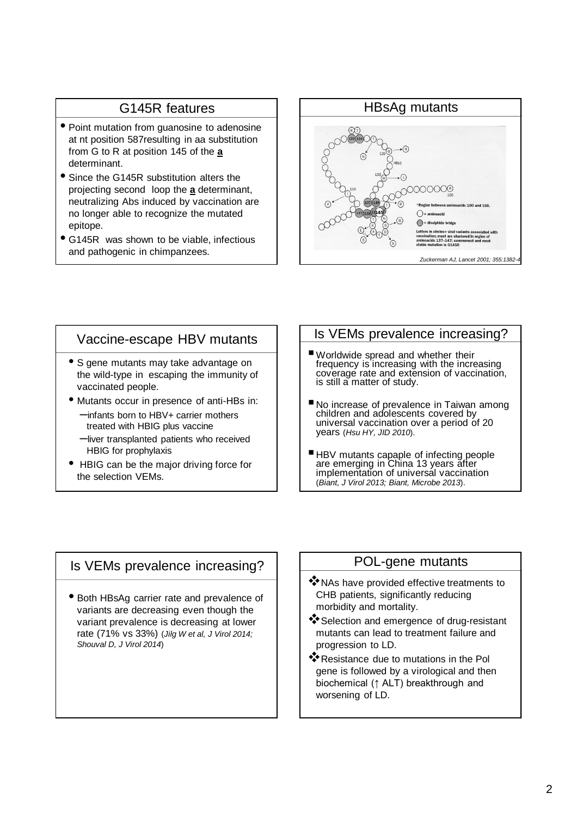### G145R features

- Point mutation from guanosine to adenosine at nt position 587resulting in aa substitution from G to R at position 145 of the **a** determinant.
- Since the G145R substitution alters the projecting second loop the **a** determinant, neutralizing Abs induced by vaccination are no longer able to recognize the mutated epitope.
- G145R was shown to be viable, infectious and pathogenic in chimpanzees.



#### Vaccine-escape HBV mutants

- S gene mutants may take advantage on the wild-type in escaping the immunity of vaccinated people.
- Mutants occur in presence of anti-HBs in: –infants born to HBV+ carrier mothers treated with HBIG plus vaccine
	- –liver transplanted patients who received HBIG for prophylaxis
- HBIG can be the major driving force for the selection VEMs.

# Is VEMs prevalence increasing?

- Worldwide spread and whether their frequency is increasing with the increasing coverage rate and extension of vaccination, is still a matter of study.
- No increase of prevalence in Taiwan among children and adolescents covered by universal vaccination over a period of 20 years (*Hsu HY, JID 2010*).
- HBV mutants capaple of infecting people are emerging in China 13 years after implementation of universal vaccination (*Biant, J Virol 2013; Biant, Microbe 2013*).

### Is VEMs prevalence increasing?

• Both HBsAg carrier rate and prevalence of variants are decreasing even though the variant prevalence is decreasing at lower rate (71% vs 33%) (*Jilg W et al, J Virol 2014; Shouval D, J Virol 2014*)

#### POL-gene mutants

- \* NAs have provided effective treatments to CHB patients, significantly reducing morbidity and mortality.
- Selection and emergence of drug-resistant mutants can lead to treatment failure and progression to LD.
- **<sup>◆</sup>**Resistance due to mutations in the Pol gene is followed by a virological and then biochemical (↑ ALT) breakthrough and worsening of LD.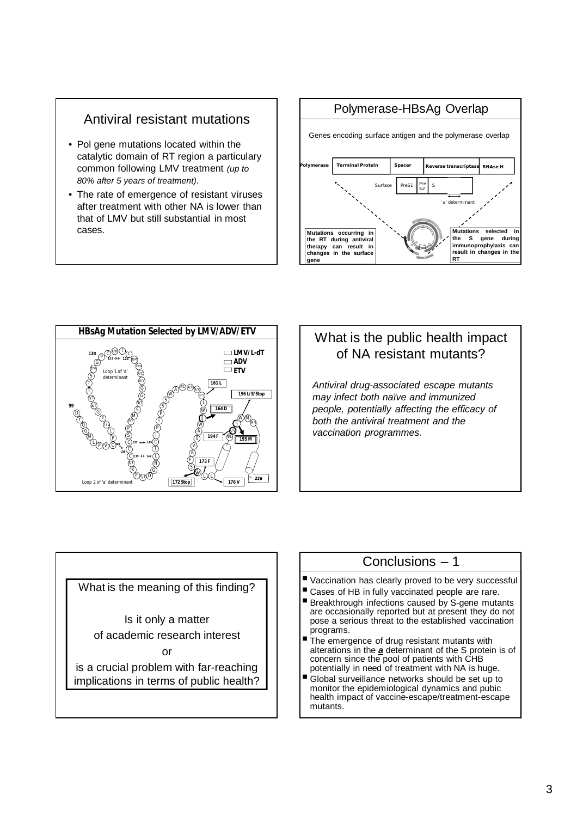### Antiviral resistant mutations

- Pol gene mutations located within the catalytic domain of RT region a particulary common following LMV treatment *(up to 80% after 5 years of treatment)*.
- The rate of emergence of resistant viruses after treatment with other NA is lower than that of LMV but still substantial in most cases.





# What is the public health impact of NA resistant mutants?

*Antiviral drug-associated escape mutants may infect both naïve and immunized people, potentially affecting the efficacy of both the antiviral treatment and the vaccination programmes.*

What is the meaning of this finding? Is it only a matter of academic research interest or is a crucial problem with far-reaching implications in terms of public health?

# Conclusions – 1

- Vaccination has clearly proved to be very successful
- Cases of HB in fully vaccinated people are rare.
- Breakthrough infections caused by S-gene mutants are occasionally reported but at present they do not pose a serious threat to the established vaccination programs.
- The emergence of drug resistant mutants with alterations in the *a* determinant of the S protein is of concern since the pool of patients with CHB potentially in need of treatment with NA is huge.
- Global surveillance networks should be set up to monitor the epidemiological dynamics and pubic health impact of vaccine-escape/treatment-escape mutants.